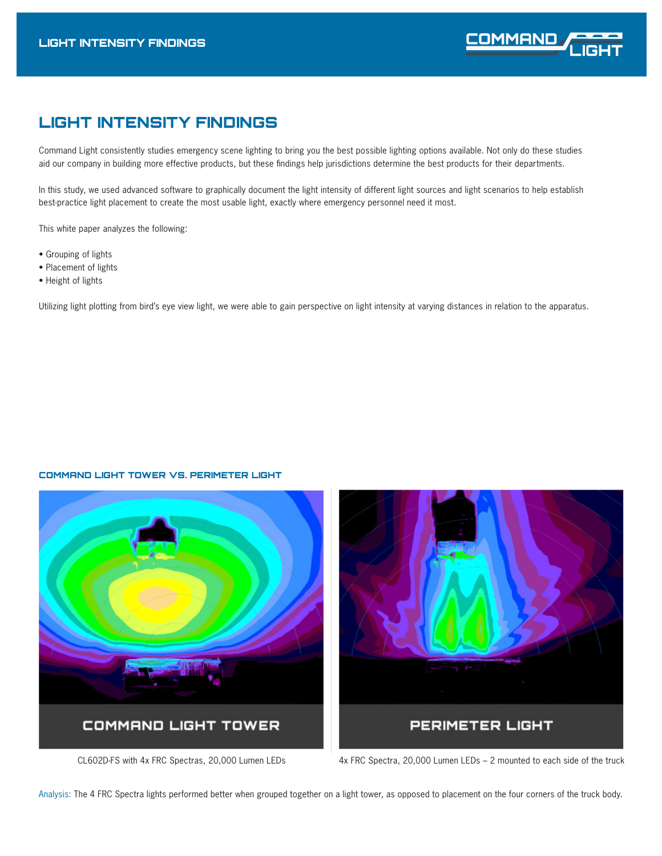

# LIGHT INTENSITY FINDINGS

Command Light consistently studies emergency scene lighting to bring you the best possible lighting options available. Not only do these studies aid our company in building more effective products, but these findings help jurisdictions determine the best products for their departments.

In this study, we used advanced software to graphically document the light intensity of different light sources and light scenarios to help establish best-practice light placement to create the most usable light, exactly where emergency personnel need it most.

This white paper analyzes the following:

- Grouping of lights
- Placement of lights
- Height of lights

Utilizing light plotting from bird's eye view light, we were able to gain perspective on light intensity at varying distances in relation to the apparatus.

# COMMAND LIGHT TOWER VS. PERIMETER LIGHT



CL602D-FS with 4x FRC Spectras, 20,000 Lumen LEDs 4x FRC Spectra, 20,000 Lumen LEDs - 2 mounted to each side of the truck

Analysis: The 4 FRC Spectra lights performed better when grouped together on a light tower, as opposed to placement on the four corners of the truck body.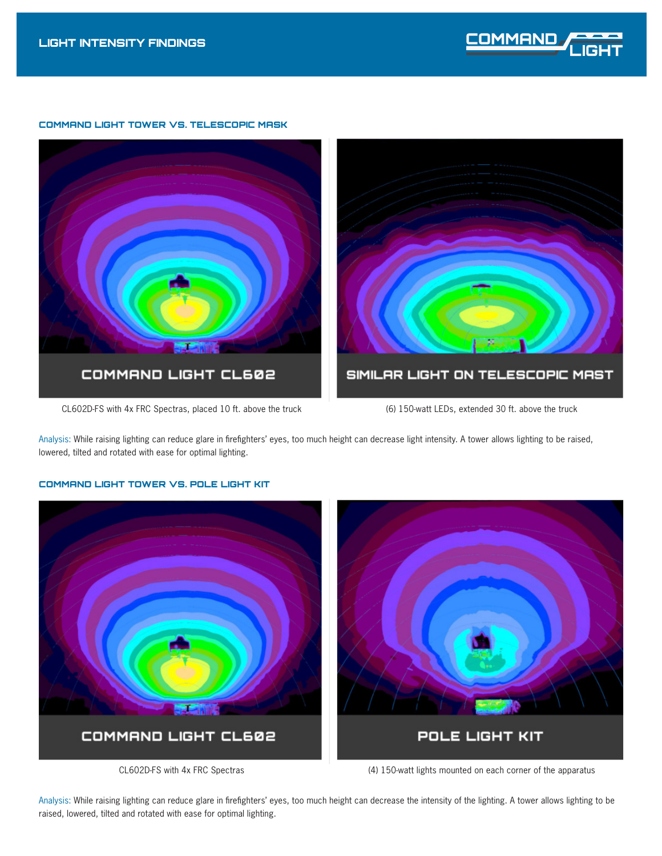

# COMMAND LIGHT TOWER VS. TELESCOPIC MASK



Analysis: While raising lighting can reduce glare in firefighters' eyes, too much height can decrease light intensity. A tower allows lighting to be raised, lowered, tilted and rotated with ease for optimal lighting.

# COMMAND LIGHT CL602 POLE LIGHT KIT

# COMMAND LIGHT TOWER VS. POLE LIGHT KIT

CL602D-FS with 4x FRC Spectras (4) 150-watt lights mounted on each corner of the apparatus

Analysis: While raising lighting can reduce glare in firefighters' eyes, too much height can decrease the intensity of the lighting. A tower allows lighting to be raised, lowered, tilted and rotated with ease for optimal lighting.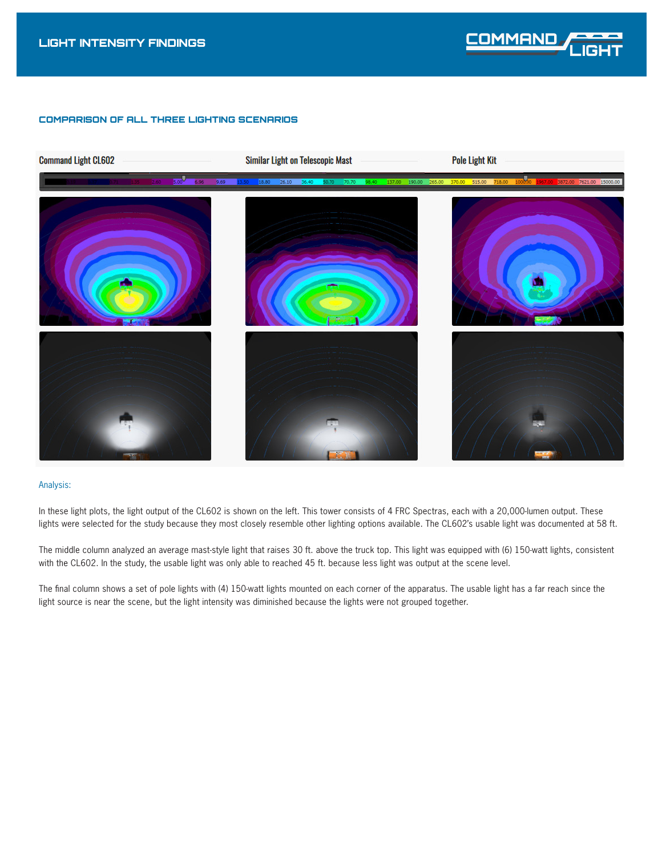

# COMPARISON OF ALL THREE LIGHTING SCENARIOS



#### Analysis:

In these light plots, the light output of the CL602 is shown on the left. This tower consists of 4 FRC Spectras, each with a 20,000-lumen output. These lights were selected for the study because they most closely resemble other lighting options available. The CL602's usable light was documented at 58 ft.

The middle column analyzed an average mast-style light that raises 30 ft. above the truck top. This light was equipped with (6) 150-watt lights, consistent with the CL602. In the study, the usable light was only able to reached 45 ft. because less light was output at the scene level.

The final column shows a set of pole lights with (4) 150-watt lights mounted on each corner of the apparatus. The usable light has a far reach since the light source is near the scene, but the light intensity was diminished because the lights were not grouped together.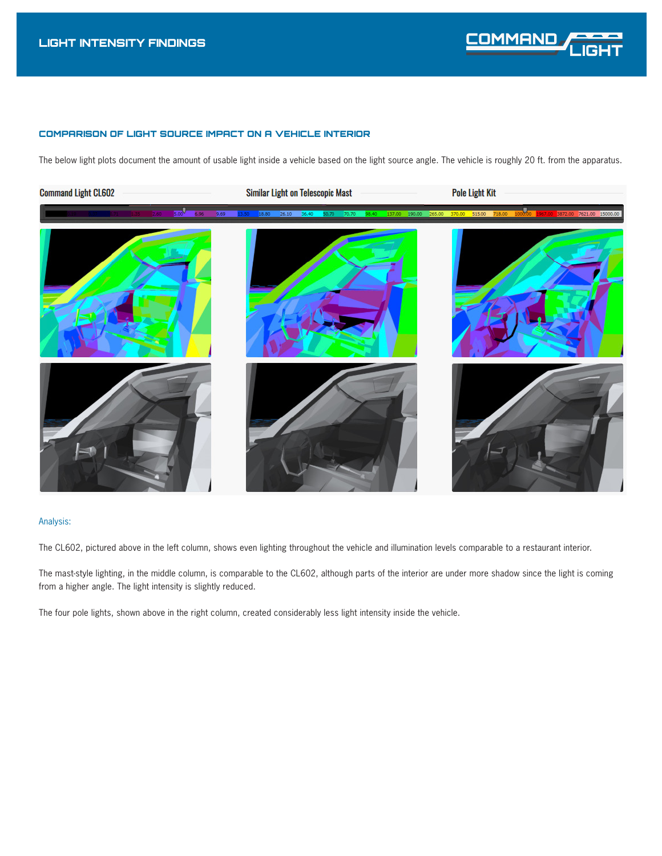# COMPARISON OF LIGHT SOURCE IMPACT ON A VEHICLE INTERIOR

The below light plots document the amount of usable light inside a vehicle based on the light source angle. The vehicle is roughly 20 ft. from the apparatus.



## Analysis:

The CL602, pictured above in the left column, shows even lighting throughout the vehicle and illumination levels comparable to a restaurant interior.

The mast-style lighting, in the middle column, is comparable to the CL602, although parts of the interior are under more shadow since the light is coming from a higher angle. The light intensity is slightly reduced.

The four pole lights, shown above in the right column, created considerably less light intensity inside the vehicle.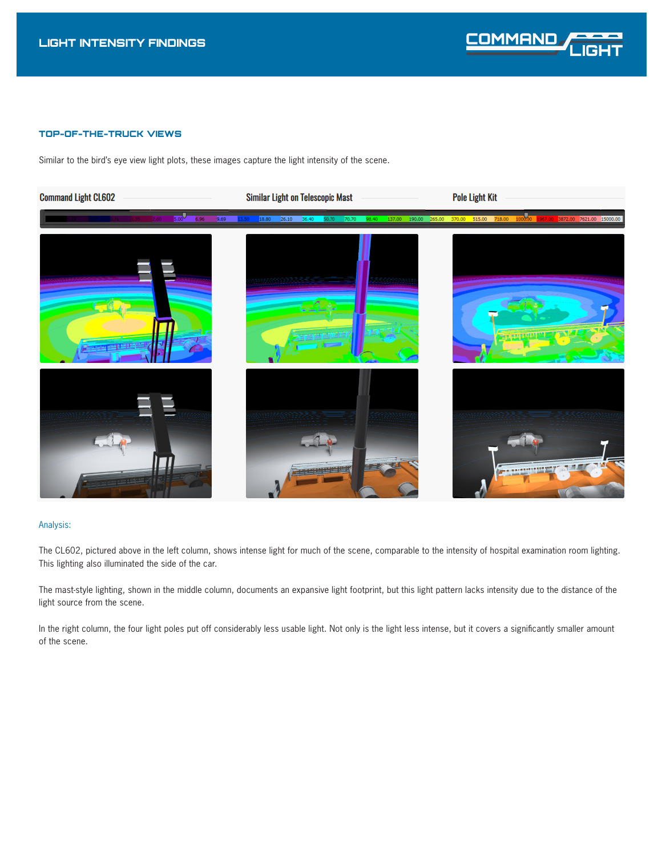

# TOP-OF-THE-TRUCK VIEWS

Similar to the bird's eye view light plots, these images capture the light intensity of the scene.



# Analysis:

The CL602, pictured above in the left column, shows intense light for much of the scene, comparable to the intensity of hospital examination room lighting. This lighting also illuminated the side of the car.

The mast-style lighting, shown in the middle column, documents an expansive light footprint, but this light pattern lacks intensity due to the distance of the light source from the scene.

In the right column, the four light poles put off considerably less usable light. Not only is the light less intense, but it covers a significantly smaller amount of the scene.